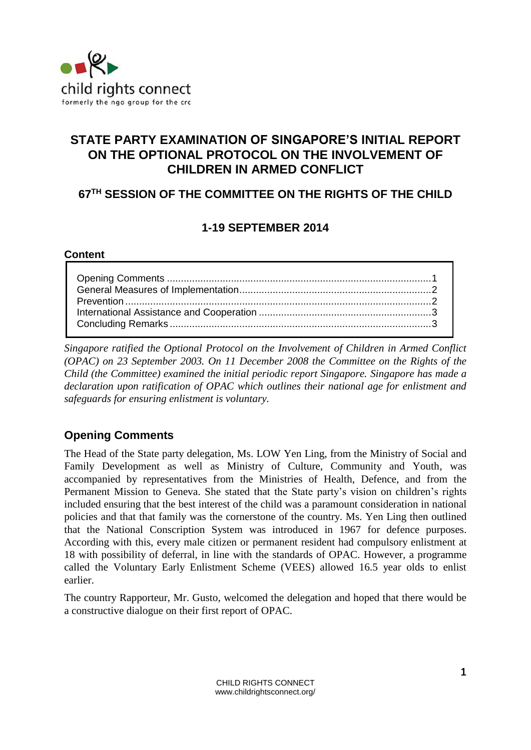

# **STATE PARTY EXAMINATION OF SINGAPORE'S INITIAL REPORT ON THE OPTIONAL PROTOCOL ON THE INVOLVEMENT OF CHILDREN IN ARMED CONFLICT**

# **67TH SESSION OF THE COMMITTEE ON THE RIGHTS OF THE CHILD**

# **1-19 SEPTEMBER 2014**

#### **Content**

*Singapore ratified the Optional Protocol on the Involvement of Children in Armed Conflict (OPAC) on 23 September 2003. On 11 December 2008 the Committee on the Rights of the Child (the Committee) examined the initial periodic report Singapore. Singapore has made a declaration upon ratification of OPAC which outlines their national age for enlistment and safeguards for ensuring enlistment is voluntary.*

# <span id="page-0-0"></span>**Opening Comments**

The Head of the State party delegation, Ms. LOW Yen Ling, from the Ministry of Social and Family Development as well as Ministry of Culture, Community and Youth, was accompanied by representatives from the Ministries of Health, Defence, and from the Permanent Mission to Geneva. She stated that the State party's vision on children's rights included ensuring that the best interest of the child was a paramount consideration in national policies and that that family was the cornerstone of the country. Ms. Yen Ling then outlined that the National Conscription System was introduced in 1967 for defence purposes. According with this, every male citizen or permanent resident had compulsory enlistment at 18 with possibility of deferral, in line with the standards of OPAC. However, a programme called the Voluntary Early Enlistment Scheme (VEES) allowed 16.5 year olds to enlist earlier.

The country Rapporteur, Mr. Gusto, welcomed the delegation and hoped that there would be a constructive dialogue on their first report of OPAC.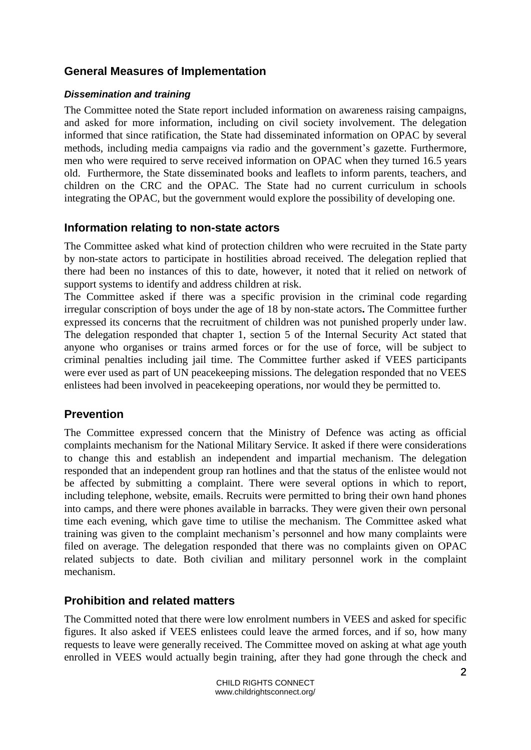# <span id="page-1-0"></span>**General Measures of Implementation**

#### *Dissemination and training*

The Committee noted the State report included information on awareness raising campaigns, and asked for more information, including on civil society involvement. The delegation informed that since ratification, the State had disseminated information on OPAC by several methods, including media campaigns via radio and the government's gazette. Furthermore, men who were required to serve received information on OPAC when they turned 16.5 years old. Furthermore, the State disseminated books and leaflets to inform parents, teachers, and children on the CRC and the OPAC. The State had no current curriculum in schools integrating the OPAC, but the government would explore the possibility of developing one.

### <span id="page-1-1"></span>**Information relating to non-state actors**

The Committee asked what kind of protection children who were recruited in the State party by non-state actors to participate in hostilities abroad received. The delegation replied that there had been no instances of this to date, however, it noted that it relied on network of support systems to identify and address children at risk.

The Committee asked if there was a specific provision in the criminal code regarding irregular conscription of boys under the age of 18 by non-state actors**.** The Committee further expressed its concerns that the recruitment of children was not punished properly under law. The delegation responded that chapter 1, section 5 of the Internal Security Act stated that anyone who organises or trains armed forces or for the use of force, will be subject to criminal penalties including jail time. The Committee further asked if VEES participants were ever used as part of UN peacekeeping missions. The delegation responded that no VEES enlistees had been involved in peacekeeping operations, nor would they be permitted to.

### **Prevention**

The Committee expressed concern that the Ministry of Defence was acting as official complaints mechanism for the National Military Service. It asked if there were considerations to change this and establish an independent and impartial mechanism. The delegation responded that an independent group ran hotlines and that the status of the enlistee would not be affected by submitting a complaint. There were several options in which to report, including telephone, website, emails. Recruits were permitted to bring their own hand phones into camps, and there were phones available in barracks. They were given their own personal time each evening, which gave time to utilise the mechanism. The Committee asked what training was given to the complaint mechanism's personnel and how many complaints were filed on average. The delegation responded that there was no complaints given on OPAC related subjects to date. Both civilian and military personnel work in the complaint mechanism.

### **Prohibition and related matters**

The Committed noted that there were low enrolment numbers in VEES and asked for specific figures. It also asked if VEES enlistees could leave the armed forces, and if so, how many requests to leave were generally received. The Committee moved on asking at what age youth enrolled in VEES would actually begin training, after they had gone through the check and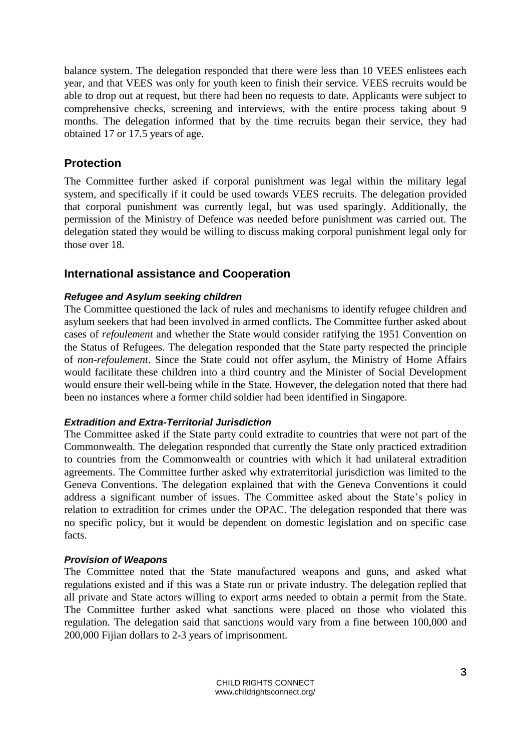balance system. The delegation responded that there were less than 10 VEES enlistees each year, and that VEES was only for youth keen to finish their service. VEES recruits would be able to drop out at request, but there had been no requests to date. Applicants were subject to comprehensive checks, screening and interviews, with the entire process taking about 9 months. The delegation informed that by the time recruits began their service, they had obtained 17 or 17.5 years of age.

### **Protection**

The Committee further asked if corporal punishment was legal within the military legal system, and specifically if it could be used towards VEES recruits. The delegation provided that corporal punishment was currently legal, but was used sparingly. Additionally, the permission of the Ministry of Defence was needed before punishment was carried out. The delegation stated they would be willing to discuss making corporal punishment legal only for those over 18.

### **International assistance and Cooperation**

#### *Refugee and Asylum seeking children*

The Committee questioned the lack of rules and mechanisms to identify refugee children and asylum seekers that had been involved in armed conflicts. The Committee further asked about cases of *refoulement* and whether the State would consider ratifying the 1951 Convention on the Status of Refugees. The delegation responded that the State party respected the principle of *non-refoulement*. Since the State could not offer asylum, the Ministry of Home Affairs would facilitate these children into a third country and the Minister of Social Development would ensure their well-being while in the State. However, the delegation noted that there had been no instances where a former child soldier had been identified in Singapore.

#### *Extradition and Extra-Territorial Jurisdiction*

The Committee asked if the State party could extradite to countries that were not part of the Commonwealth. The delegation responded that currently the State only practiced extradition to countries from the Commonwealth or countries with which it had unilateral extradition agreements. The Committee further asked why extraterritorial jurisdiction was limited to the Geneva Conventions. The delegation explained that with the Geneva Conventions it could address a significant number of issues. The Committee asked about the State's policy in relation to extradition for crimes under the OPAC. The delegation responded that there was no specific policy, but it would be dependent on domestic legislation and on specific case facts.

#### *Provision of Weapons*

The Committee noted that the State manufactured weapons and guns, and asked what regulations existed and if this was a State run or private industry. The delegation replied that all private and State actors willing to export arms needed to obtain a permit from the State. The Committee further asked what sanctions were placed on those who violated this regulation. The delegation said that sanctions would vary from a fine between 100,000 and 200,000 Fijian dollars to 2-3 years of imprisonment.